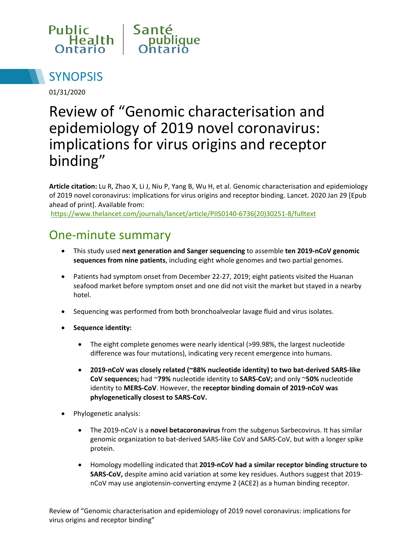



01/31/2020

# Review of "Genomic characterisation and epidemiology of 2019 novel coronavirus: implications for virus origins and receptor binding"

**Article citation:** Lu R, Zhao X, Li J, Niu P, Yang B, Wu H, et al. Genomic characterisation and epidemiology of 2019 novel coronavirus: implications for virus origins and receptor binding. Lancet. 2020 Jan 29 [Epub ahead of print]. Available from:

[https://www.thelancet.com/journals/lancet/article/PIIS0140-6736\(20\)30251-8/fulltext](https://www.thelancet.com/journals/lancet/article/PIIS0140-6736(20)30251-8/fulltext)

#### One-minute summary

- This study used **next generation and Sanger sequencing** to assemble **ten 2019-nCoV genomic sequences from nine patients**, including eight whole genomes and two partial genomes.
- Patients had symptom onset from December 22-27, 2019; eight patients visited the Huanan seafood market before symptom onset and one did not visit the market but stayed in a nearby hotel.
- Sequencing was performed from both bronchoalveolar lavage fluid and virus isolates.
- **Sequence identity:**
	- The eight complete genomes were nearly identical (>99.98%, the largest nucleotide difference was four mutations), indicating very recent emergence into humans.
	- **2019-nCoV was closely related (~88% nucleotide identity) to two bat-derived SARS-like CoV sequences;** had ~**79%** nucleotide identity to **SARS-CoV;** and only ~**50%** nucleotide identity to **MERS-CoV**. However, the **receptor binding domain of 2019-nCoV was phylogenetically closest to SARS-CoV.**
- Phylogenetic analysis:
	- The 2019-nCoV is a **novel betacoronavirus** from the subgenus Sarbecovirus. It has similar genomic organization to bat-derived SARS-like CoV and SARS-CoV, but with a longer spike protein.
	- Homology modelling indicated that **2019-nCoV had a similar receptor binding structure to SARS-CoV,** despite amino acid variation at some key residues. Authors suggest that 2019 nCoV may use angiotensin-converting enzyme 2 (ACE2) as a human binding receptor.

Review of "Genomic characterisation and epidemiology of 2019 novel coronavirus: implications for virus origins and receptor binding"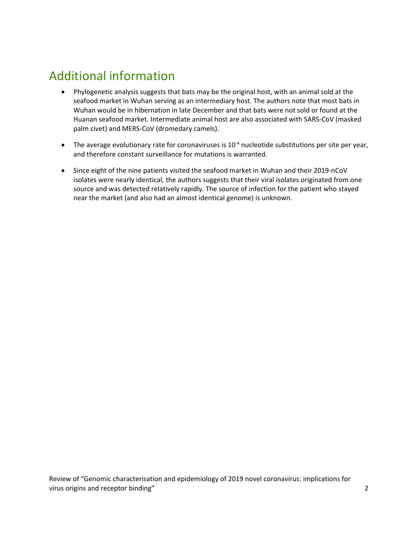## Additional information

- Phylogenetic analysis suggests that bats may be the original host, with an animal sold at the seafood market in Wuhan serving as an intermediary host. The authors note that most bats in Wuhan would be in hibernation in late December and that bats were not sold or found at the Huanan seafood market. Intermediate animal host are also associated with SARS-CoV (masked palm civet) and MERS-CoV (dromedary camels).
- The average evolutionary rate for coronaviruses is  $10^{-4}$  nucleotide substitutions per site per year, and therefore constant surveillance for mutations is warranted.
- Since eight of the nine patients visited the seafood market in Wuhan and their 2019-nCoV isolates were nearly identical, the authors suggests that their viral isolates originated from one source and was detected relatively rapidly. The source of infection for the patient who stayed near the market (and also had an almost identical genome) is unknown.